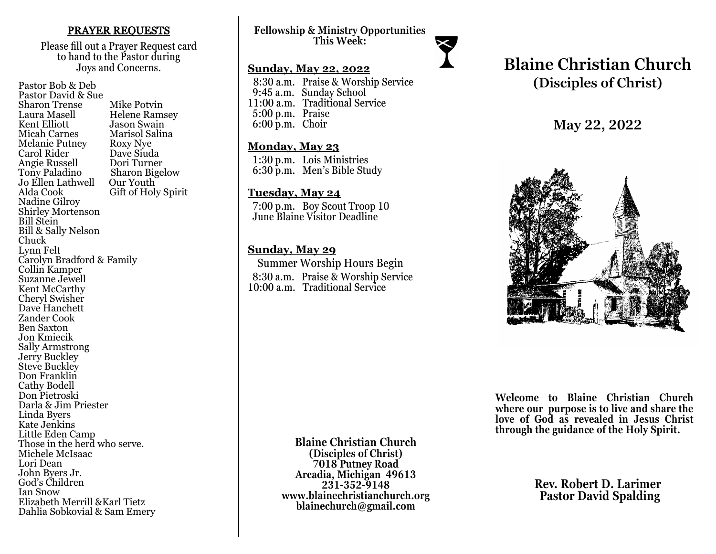#### PRAYER REQUESTS

Please fill out a Prayer Request card to hand to the Pastor during Joys and Concerns.

Pastor Bob & Deb Pastor David & Sue Sharon Trense Mike Potvin<br>Laura Masell Helene Ram Laura Masell Helene Ramsey<br>Kent Elliott Lason Swain Kent Elliott Jason Swain<br>
Micah Carnes Marisol Salir Marisol Salina<br>Roxy Nye Melanie Putney Roxy Nye<br>Carol Rider Dave Siuda Carol Rider Dave Siuda Angie Russell<br>Tony Paladino Sharon Bigelow<br>Our Youth Jo Ellen Lathwell<br>Alda Cook Gift of Holy Spirit Nadine Gilroy Shirley Mortenson Bill Stein Bill & Sally Nelson Chuck Lynn Felt Carolyn Bradford & Family Collin Kamper Suzanne Jewell Kent McCarthy Cheryl Swisher Dave Hanchett Zander Cook Ben Saxton Jon Kmiecik Sally Armstrong Jerry Buckley Steve Buckley Don Franklin Cathy Bodell Don Pietroski Darla & Jim Priester Linda Byers Kate Jenkins Little Eden Camp Those in the herd who serve. Michele McIsaac Lori Dean John Byers Jr. God's Children Ian Snow Elizabeth Merrill &Karl Tietz Dahlia Sobkovial & Sam Emery

**Fellowship & Ministry Opportunities This Week:**

#### **Sunday, May 22, 2022**

 8:30 a.m. Praise & Worship Service 9:45 a.m. Sunday School 11:00 a.m. Traditional Service 5:00 p.m. Praise 6:00 p.m. Choir

## **Monday, May 23**

 1:30 p.m. Lois Ministries 6:30 p.m. Men's Bible Study

## **Tuesday, May 24**

 7:00 p.m. Boy Scout Troop 10 June Blaine Visitor Deadline

# **Sunday, May 29**

 Summer Worship Hours Begin 8:30 a.m. Praise & Worship Service 10:00 a.m. Traditional Service

# **Blaine Christian Church (Disciples of Christ)**

**May 22, 2022**



**Welcome to Blaine Christian Church where our purpose is to live and share the love of God as revealed in Jesus Christ through the guidance of the Holy Spirit.**

> **Rev. Robert D. Larimer Pastor David Spalding**

**Blaine Christian Church (Disciples of Christ) 7018 Putney Road Arcadia, Michigan 49613 231-352-9148 www.blainechristianchurch.org blainechurch@gmail.com**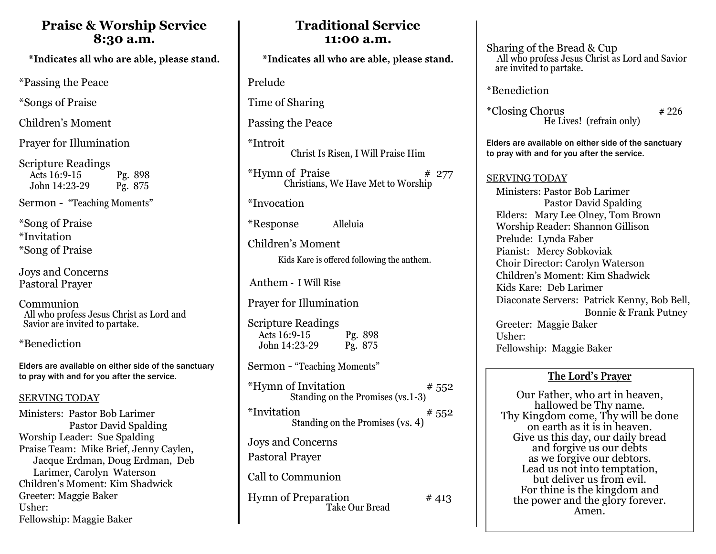# **Praise & Worship Service 8:30 a.m.**

\*Indicates all who are able, please stand.

\*Passing the Peace

\*Songs of Praise

Children's Moment

Prayer for Illumination

Scripture Readings Acts 16:9-15 Pg. 898<br>John 14:23-29 Pg. 875 John 14:23-29

Sermon - "Teaching Moments"

\*Song of Praise \*Invitation \*Song of Praise

Joys and Concerns Pastoral Prayer

Communion All who profess Jesus Christ as Lord and Savior are invited to partake.

\*Benediction

Elders are available on either side of the sanctuary to pray with and for you after the service.

# SERVING TODAY

Ministers: Pastor Bob Larimer Pastor David Spalding Worship Leader: Sue Spalding Praise Team: Mike Brief, Jenny Caylen, Jacque Erdman, Doug Erdman, Deb Larimer, Carolyn Waterson Children's Moment: Kim Shadwick Greeter: Maggie Baker Usher: Fellowship: Maggie Baker

# **Traditional Service 11:00 a.m.**

\*Indicates all who are able, please stand.

Prelude

Time of Sharing

Passing the Peace

\*Introit Christ Is Risen, I Will Praise Him

 $***H**$ ymn of Praise  $***H**$  277 Christians, We Have Met to Worship

\*Invocation

\*Response Alleluia

Children's Moment

Kids Kare is offered following the anthem.

Anthem - I Will Rise

Prayer for Illumination

Scripture Readings Acts 16:9-15 Pg. 898 John 14:23-29 Pg. 875

Sermon - "Teaching Moments"

| *Hymn of Invitation<br>Standing on the Promises (vs. 1-3) | # 552 |
|-----------------------------------------------------------|-------|
| *Invitation<br>Standing on the Promises (vs. 4)           | # 552 |
| Joys and Concerns<br>Pastoral Prayer                      |       |
| Call to Communion                                         |       |
| <b>Hymn of Preparation</b><br>Take Our Bread              | #413  |

Sharing of the Bread & Cup All who profess Jesus Christ as Lord and Savior are invited to partake.

\*Benediction

 $*Closing Chorus$   $*226$ He Lives! (refrain only)

Elders are available on either side of the sanctuary to pray with and for you after the service.

SERVING TODAY

 Ministers: Pastor Bob Larimer Pastor David Spalding Elders: Mary Lee Olney, Tom Brown Worship Reader: Shannon Gillison Prelude: Lynda Faber Pianist: Mercy Sobkoviak Choir Director: Carolyn Waterson Children's Moment: Kim Shadwick Kids Kare: Deb Larimer Diaconate Servers: Patrick Kenny, Bob Bell, Bonnie & Frank Putney Greeter: Maggie Baker Usher: Fellowship: Maggie Baker

# **The Lord's Prayer**

Our Father, who art in heaven, hallowed be Thy name. Thy Kingdom come, Thy will be done on earth as it is in heaven. Give us this day, our daily bread and forgive us our debts as we forgive our debtors. Lead us not into temptation, but deliver us from evil. For thine is the kingdom and the power and the glory forever. Amen.